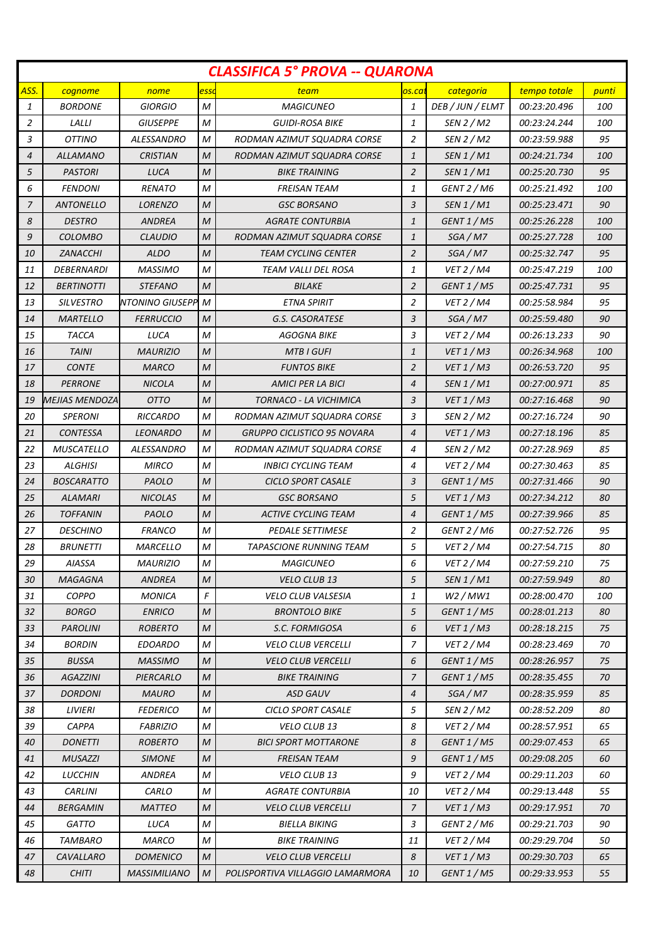| <b>CLASSIFICA 5° PROVA -- QUARONA</b> |                   |                     |                  |                                    |                |                       |              |            |
|---------------------------------------|-------------------|---------------------|------------------|------------------------------------|----------------|-----------------------|--------------|------------|
| ASS.                                  | cognome           | nome                | essi             | team                               | os.ca          | categoria             | tempo totale | punti      |
| 1                                     | <b>BORDONE</b>    | GIORGIO             | M                | <b>MAGICUNEO</b>                   | 1              | DEB / JUN / ELMT      | 00:23:20.496 | 100        |
| 2                                     | LALLI             | <b>GIUSEPPE</b>     | M                | <b>GUIDI-ROSA BIKE</b>             | 1              | SEN 2 / M2            | 00:23:24.244 | 100        |
| 3                                     | OTTINO            | ALESSANDRO          | M                | RODMAN AZIMUT SQUADRA CORSE        | 2              | SEN 2 / M2            | 00:23:59.988 | 95         |
| $\overline{4}$                        | <b>ALLAMANO</b>   | <b>CRISTIAN</b>     | M                | RODMAN AZIMUT SQUADRA CORSE        | $\mathbf{1}$   | SEN 1 / M1            | 00:24:21.734 | <i>100</i> |
| 5                                     | <b>PASTORI</b>    | <b>LUCA</b>         | M                | <b>BIKE TRAINING</b>               | $\overline{2}$ | SEN 1 / M1            | 00:25:20.730 | 95         |
| 6                                     | <b>FENDONI</b>    | <b>RENATO</b>       | M                | FREISAN TEAM                       | 1              | GENT 2 / M6           | 00:25:21.492 | <i>100</i> |
| $\overline{7}$                        | <b>ANTONELLO</b>  | <b>LORENZO</b>      | M                | <b>GSC BORSANO</b>                 | 3              | SEN 1 / M1            | 00:25:23.471 | 90         |
| 8                                     | <b>DESTRO</b>     | ANDREA              | M                | <b>AGRATE CONTURBIA</b>            | 1              | GENT 1 / M5           | 00:25:26.228 | <i>100</i> |
| 9                                     | <b>COLOMBO</b>    | <b>CLAUDIO</b>      | $\mathcal M$     | RODMAN AZIMUT SQUADRA CORSE        | $\mathbf{1}$   | SGA/M7                | 00:25:27.728 | 100        |
| 10                                    | ZANACCHI          | <b>ALDO</b>         | M                | <b>TEAM CYCLING CENTER</b>         | $\overline{2}$ | SGA/M7                | 00:25:32.747 | 95         |
| 11                                    | DEBERNARDI        | <b>MASSIMO</b>      | M                | TEAM VALLI DEL ROSA                | 1              | <b>VET 2 / M4</b>     | 00:25:47.219 | <i>100</i> |
| 12                                    | <b>BERTINOTTI</b> | <b>STEFANO</b>      | $\mathcal{M}$    | <b>BILAKE</b>                      | $\overline{2}$ | GENT 1 / M5           | 00:25:47.731 | 95         |
| 13                                    | <b>SILVESTRO</b>  | NTONINO GIUSEPP M   |                  | <b>ETNA SPIRIT</b>                 | 2              | <b>VET 2 / M4</b>     | 00:25:58.984 | 95         |
| 14                                    | <b>MARTELLO</b>   | <b>FERRUCCIO</b>    | M                | G.S. CASORATESE                    | 3              | SGA/M7                | 00:25:59.480 | 90         |
| 15                                    | TACCA             | LUCA                | M                | AGOGNA BIKE                        | 3              | <b>VET 2 / M4</b>     | 00:26:13.233 | 90         |
| 16                                    | <b>TAINI</b>      | <b>MAURIZIO</b>     | M                | <b>MTB I GUFI</b>                  | $\mathbf{1}$   | VET 1/M3              | 00:26:34.968 | <i>100</i> |
| 17                                    | <b>CONTE</b>      | <i><b>MARCO</b></i> | $\mathcal{M}$    | <b>FUNTOS BIKE</b>                 | 2              | VET 1/M3              | 00:26:53.720 | 95         |
| 18                                    | <b>PERRONE</b>    | <b>NICOLA</b>       | M                | AMICI PER LA BICI                  | $\overline{4}$ | SEN 1 / M1            | 00:27:00.971 | 85         |
| 19                                    | MEJIAS MENDOZA    | <b>OTTO</b>         | M                | TORNACO - LA VICHIMICA             | 3              | VET 1/M3              | 00:27:16.468 | 90         |
| 20                                    | <b>SPERONI</b>    | <b>RICCARDO</b>     | М                | RODMAN AZIMUT SQUADRA CORSE        | 3              | SEN 2 / M2            | 00:27:16.724 | 90         |
| 21                                    | <b>CONTESSA</b>   | <b>LEONARDO</b>     | $\mathcal{M}$    | <b>GRUPPO CICLISTICO 95 NOVARA</b> | 4              | VET 1/M3              | 00:27:18.196 | 85         |
| 22                                    | <b>MUSCATELLO</b> | ALESSANDRO          | M                | RODMAN AZIMUT SQUADRA CORSE        | 4              | SEN 2 / M2            | 00:27:28.969 | 85         |
| 23                                    | <b>ALGHISI</b>    | <b>MIRCO</b>        | M                | INBICI CYCLING TEAM                | 4              | <b>VET 2 / M4</b>     | 00:27:30.463 | 85         |
| 24                                    | <b>BOSCARATTO</b> | PAOLO               | M                | CICLO SPORT CASALE                 | 3              | GENT 1 / M5           | 00:27:31.466 | 90         |
| 25                                    | ALAMARI           | <b>NICOLAS</b>      | M                | <b>GSC BORSANO</b>                 | 5              | VET 1/M3              | 00:27:34.212 | 80         |
| 26                                    | <b>TOFFANIN</b>   | PAOLO               | M                | <b>ACTIVE CYCLING TEAM</b>         | 4              | GENT 1 / M5           | 00:27:39.966 | 85         |
| 27                                    | <b>DESCHINO</b>   | <b>FRANCO</b>       | M                | <b>PEDALE SETTIMESE</b>            | 2              | GENT 2 / M6           | 00:27:52.726 | 95         |
| 28                                    | <b>BRUNETTI</b>   | <b>MARCELLO</b>     | M                | TAPASCIONE RUNNING TEAM            | 5              | <b>VET 2 / M4</b>     | 00:27:54.715 | 80         |
| 29                                    | AIASSA            | <b>MAURIZIO</b>     | $\boldsymbol{M}$ | <b>MAGICUNEO</b>                   | 6              | VET 2 / M4            | 00:27:59.210 | 75         |
| 30                                    | <b>MAGAGNA</b>    | ANDREA              | M                | VELO CLUB 13                       | 5              | SEN 1 / M1            | 00:27:59.949 | 80         |
| 31                                    | COPPO             | <b>MONICA</b>       | F                | <b>VELO CLUB VALSESIA</b>          | 1              | W2/MW1                | 00:28:00.470 | 100        |
| 32                                    | <b>BORGO</b>      | <b>ENRICO</b>       | M                | <b>BRONTOLO BIKE</b>               | 5              | GENT 1 / M5           | 00:28:01.213 | 80         |
| 33                                    | <b>PAROLINI</b>   | <b>ROBERTO</b>      | M                | S.C. FORMIGOSA                     | 6              | VET 1/M3              | 00:28:18.215 | 75         |
| 34                                    | <b>BORDIN</b>     | <b>EDOARDO</b>      | М                | <b>VELO CLUB VERCELLI</b>          | $\overline{z}$ | <b>VET 2 / M4</b>     | 00:28:23.469 | 70         |
| 35                                    | <b>BUSSA</b>      | <b>MASSIMO</b>      | M                | <b>VELO CLUB VERCELLI</b>          | 6              | GENT 1 / M5           | 00:28:26.957 | 75         |
| 36                                    | <b>AGAZZINI</b>   | PIERCARLO           | M                | <b>BIKE TRAINING</b>               | 7              | GENT 1 / M5           | 00:28:35.455 | 70         |
| 37                                    | <b>DORDONI</b>    | <b>MAURO</b>        | M                | <b>ASD GAUV</b>                    | $\overline{4}$ | SGA/M7                | 00:28:35.959 | 85         |
| 38                                    | <b>LIVIERI</b>    | <b>FEDERICO</b>     | M                | CICLO SPORT CASALE                 | 5              | SEN 2 / M2            | 00:28:52.209 | 80         |
| 39                                    | <b>CAPPA</b>      | <b>FABRIZIO</b>     | M                | VELO CLUB 13                       | 8              | <b>VET 2 / M4</b>     | 00:28:57.951 | 65         |
| 40                                    | <b>DONETTI</b>    | <b>ROBERTO</b>      | M                | <b>BICI SPORT MOTTARONE</b>        | 8              | GENT 1 / M5           | 00:29:07.453 | 65         |
| 41                                    | <b>MUSAZZI</b>    | <b>SIMONE</b>       | $\mathcal M$     | FREISAN TEAM                       | 9              | <b>GENT 1 / M5</b>    | 00:29:08.205 | 60         |
| 42                                    | LUCCHIN           | <b>ANDREA</b>       | М                | VELO CLUB 13                       | 9              | VET 2 / M4            | 00:29:11.203 | 60         |
| 43                                    | <b>CARLINI</b>    | CARLO               | М                | <b>AGRATE CONTURBIA</b>            | 10             | VET 2 / M4            | 00:29:13.448 | 55         |
| 44                                    | BERGAMIN          | <b>MATTEO</b>       | M                | <b>VELO CLUB VERCELLI</b>          | 7              | VET 1/M3              | 00:29:17.951 | 70         |
| 45                                    | GATTO             | LUCA                | М                | <b>BIELLA BIKING</b>               | 3              | GENT <sub>2</sub> /M6 | 00:29:21.703 | 90         |
| 46                                    | <b>TAMBARO</b>    | <b>MARCO</b>        | M                | <b>BIKE TRAINING</b>               | 11             | VET 2 / M4            | 00:29:29.704 | 50         |
| 47                                    | CAVALLARO         | <b>DOMENICO</b>     | M                | <b>VELO CLUB VERCELLI</b>          | 8              | VET 1/M3              | 00:29:30.703 | 65         |
| 48                                    | <b>CHITI</b>      | MASSIMILIANO        | M                | POLISPORTIVA VILLAGGIO LAMARMORA   | 10             | GENT 1 / M5           | 00:29:33.953 | 55         |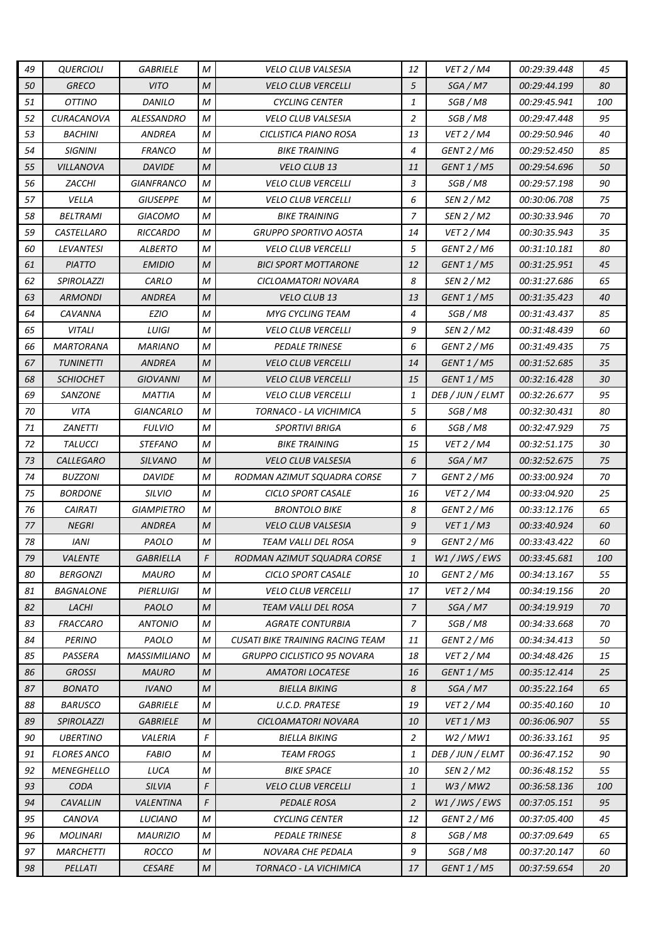| 49 | <b>QUERCIOLI</b>        | <b>GABRIELE</b>     | M             | <b>VELO CLUB VALSESIA</b>               | 12             | <b>VET 2 / M4</b> | 00:29:39.448        | 45         |
|----|-------------------------|---------------------|---------------|-----------------------------------------|----------------|-------------------|---------------------|------------|
| 50 | <b>GRECO</b>            | <b>VITO</b>         | $\mathcal M$  | <b>VELO CLUB VERCELLI</b>               | 5              | SGA/M7            | 00:29:44.199        | 80         |
| 51 | <b>OTTINO</b>           | DANILO              | М             | <b>CYCLING CENTER</b>                   | $\mathbf{1}$   | SGB / M8          | 00:29:45.941        | <i>100</i> |
| 52 | CURACANOVA              | ALESSANDRO          | M             | <b>VELO CLUB VALSESIA</b>               | 2              | SGB / M8          | 00:29:47.448        | 95         |
| 53 | <b>BACHINI</b>          | <b>ANDREA</b>       | M             | CICLISTICA PIANO ROSA                   | 13             | VET 2 / M4        | 00:29:50.946        | 40         |
| 54 | <b>SIGNINI</b>          | <b>FRANCO</b>       | M             | <b>BIKE TRAINING</b>                    | $\overline{4}$ | GENT 2 / M6       | 00:29:52.450        | 85         |
| 55 | <i><b>VILLANOVA</b></i> | <b>DAVIDE</b>       | $\mathcal{M}$ | <b>VELO CLUB 13</b>                     | 11             | GENT 1 / M5       | <i>00:29:54.696</i> | 50         |
| 56 | ZACCHI                  | GIANFRANCO          | M             | <b>VELO CLUB VERCELLI</b>               | 3              | SGB / M8          | 00:29:57.198        | 90         |
| 57 | VELLA                   | <b>GIUSEPPE</b>     | M             | <b>VELO CLUB VERCELLI</b>               | 6              | SEN 2 / M2        | 00:30:06.708        | 75         |
| 58 | BELTRAMI                | GIACOMO             | M             | <b>BIKE TRAINING</b>                    | $\overline{7}$ | SEN 2 / M2        | 00:30:33.946        | 70         |
| 59 | CASTELLARO              | <b>RICCARDO</b>     | M             | <b>GRUPPO SPORTIVO AOSTA</b>            | 14             | VET 2 / M4        | 00:30:35.943        | 35         |
| 60 | LEVANTESI               | ALBERTO             | M             | <b>VELO CLUB VERCELLI</b>               | 5              | GENT 2 / M6       | 00:31:10.181        | 80         |
| 61 | <b>PIATTO</b>           | <b>EMIDIO</b>       | $\mathcal M$  | <b>BICI SPORT MOTTARONE</b>             | 12             | GENT 1 / M5       | 00:31:25.951        | 45         |
| 62 | <b>SPIROLAZZI</b>       | CARLO               | M             | CICLOAMATORI NOVARA                     | 8              | SEN 2 / M2        | 00:31:27.686        | 65         |
| 63 | ARMONDI                 | <b>ANDREA</b>       | M             | <b>VELO CLUB 13</b>                     | 13             | GENT 1 / M5       | 00:31:35.423        | 40         |
| 64 | CAVANNA                 | <b>EZIO</b>         | M             | <b>MYG CYCLING TEAM</b>                 | $\overline{4}$ | SGB / M8          | 00:31:43.437        | 85         |
| 65 | <b>VITALI</b>           | LUIGI               | M             | <b>VELO CLUB VERCELLI</b>               | 9              | SEN 2 / M2        | 00:31:48.439        | 60         |
| 66 | <b>MARTORANA</b>        | <b>MARIANO</b>      | M             | <b>PEDALE TRINESE</b>                   | 6              | GENT 2 / M6       | 00:31:49.435        | 75         |
| 67 | <b>TUNINETTI</b>        | <b>ANDREA</b>       | $\mathcal{M}$ | <b>VELO CLUB VERCELLI</b>               | 14             | GENT 1 / M5       | 00:31:52.685        | 35         |
| 68 | <b>SCHIOCHET</b>        | GIOVANNI            | $\mathcal{M}$ | <b>VELO CLUB VERCELLI</b>               | 15             | GENT 1 / M5       | 00:32:16.428        | 30         |
| 69 | <b>SANZONE</b>          | MATTIA              | M             | <b>VELO CLUB VERCELLI</b>               | 1              | DEB / JUN / ELMT  | 00:32:26.677        | 95         |
| 70 | VITA                    | GIANCARLO           | M             | TORNACO - LA VICHIMICA                  | 5              | SGB / M8          | 00:32:30.431        | 80         |
| 71 | <b>ZANETTI</b>          | <b>FULVIO</b>       | M             | <b>SPORTIVI BRIGA</b>                   | 6              | SGB / M8          | 00:32:47.929        | 75         |
| 72 | <b>TALUCCI</b>          | STEFANO             | М             | <b>BIKE TRAINING</b>                    | 15             | VET 2 / M4        | 00:32:51.175        | 30         |
| 73 | <b>CALLEGARO</b>        | <b>SILVANO</b>      | M             | <b>VELO CLUB VALSESIA</b>               | 6              | SGA/M7            | 00:32:52.675        | 75         |
| 74 | <b>BUZZONI</b>          | DAVIDE              | M             | RODMAN AZIMUT SQUADRA CORSE             | 7              | GENT 2 / M6       | 00:33:00.924        | 70         |
| 75 | <b>BORDONE</b>          | <b>SILVIO</b>       | M             | CICLO SPORT CASALE                      | 16             | VET 2 / M4        | 00:33:04.920        | 25         |
| 76 | <b>CAIRATI</b>          | <b>GIAMPIETRO</b>   | M             | <b>BRONTOLO BIKE</b>                    | 8              | GENT 2 / M6       | 00:33:12.176        | 65         |
| 77 | <b>NEGRI</b>            | ANDREA              | M             | <b>VELO CLUB VALSESIA</b>               | 9              | <i>VET 1 / M3</i> | 00:33:40.924        | 60         |
| 78 | <b>IANI</b>             | PAOLO               | М             | TEAM VALLI DEL ROSA                     | 9              | GENT 2 / M6       | 00:33:43.422        | 60         |
| 79 | <b>VALENTE</b>          | <b>GABRIELLA</b>    | F             | RODMAN AZIMUT SQUADRA CORSE             | $\mathbf{1}$   | W1 / JWS / EWS    | 00:33:45.681        | 100        |
| 80 | <b>BERGONZI</b>         | <b>MAURO</b>        | М             | CICLO SPORT CASALE                      | 10             | GENT 2 / M6       | 00:34:13.167        | 55         |
| 81 | <b>BAGNALONE</b>        | PIERLUIGI           | M             | <b>VELO CLUB VERCELLI</b>               | 17             | <b>VET 2 / M4</b> | 00:34:19.156        | 20         |
| 82 | LACHI                   | PAOLO               | M             | <b>TEAM VALLI DEL ROSA</b>              | 7              | SGA/M7            | 00:34:19.919        | 70         |
| 83 | <b>FRACCARO</b>         | <b>ANTONIO</b>      | М             | <b>AGRATE CONTURBIA</b>                 | $\overline{7}$ | SGB / M8          | 00:34:33.668        | 70         |
| 84 | <b>PERINO</b>           | PAOLO               | М             | <b>CUSATI BIKE TRAINING RACING TEAM</b> | 11             | GENT 2 / M6       | 00:34:34.413        | 50         |
| 85 | PASSERA                 | <b>MASSIMILIANO</b> | М             | <b>GRUPPO CICLISTICO 95 NOVARA</b>      | 18             | VET 2 / M4        | 00:34:48.426        | 15         |
| 86 | <b>GROSSI</b>           | <b>MAURO</b>        | M             | <b>AMATORI LOCATESE</b>                 | 16             | GENT 1 / M5       | 00:35:12.414        | 25         |
| 87 | <b>BONATO</b>           | <b>IVANO</b>        | M             | <b>BIELLA BIKING</b>                    | 8              | SGA/M7            | 00:35:22.164        | 65         |
| 88 | <b>BARUSCO</b>          | <b>GABRIELE</b>     | M             | U.C.D. PRATESE                          | 19             | <b>VET 2 / M4</b> | 00:35:40.160        | 10         |
| 89 | <b>SPIROLAZZI</b>       | <b>GABRIELE</b>     | M             | CICLOAMATORI NOVARA                     | 10             | VET 1/M3          | 00:36:06.907        | 55         |
| 90 | <b>UBERTINO</b>         | VALERIA             | $\mathcal{F}$ | <b>BIELLA BIKING</b>                    | 2              | W2/MW1            | 00:36:33.161        | 95         |
| 91 | <b>FLORES ANCO</b>      | <b>FABIO</b>        | М             | <b>TEAM FROGS</b>                       | 1              | DEB / JUN / ELMT  | 00:36:47.152        | 90         |
| 92 | <b>MENEGHELLO</b>       | LUCA                | М             | <b>BIKE SPACE</b>                       | 10             | SEN 2 / M2        | 00:36:48.152        | 55         |
| 93 | <b>CODA</b>             | SILVIA              | F             | <b>VELO CLUB VERCELLI</b>               | $\mathbf{1}$   | W3/MW2            | 00:36:58.136        | 100        |
| 94 | CAVALLIN                | VALENTINA           | F             | <b>PEDALE ROSA</b>                      | 2              | W1 / JWS / EWS    | <i>00:37:05.151</i> | 95         |
| 95 | CANOVA                  | <b>LUCIANO</b>      | M             | <b>CYCLING CENTER</b>                   | 12             | GENT 2 / M6       | 00:37:05.400        | 45         |
| 96 | MOLINARI                | <b>MAURIZIO</b>     | M             | PEDALE TRINESE                          | 8              | SGB / M8          | 00:37:09.649        | 65         |
| 97 | <b>MARCHETTI</b>        | ROCCO               | М             | NOVARA CHE PEDALA                       | 9              | SGB / M8          | 00:37:20.147        | 60         |
| 98 | PELLATI                 | <b>CESARE</b>       | $\mathcal M$  | TORNACO - LA VICHIMICA                  | 17             | GENT 1 / M5       | 00:37:59.654        | 20         |